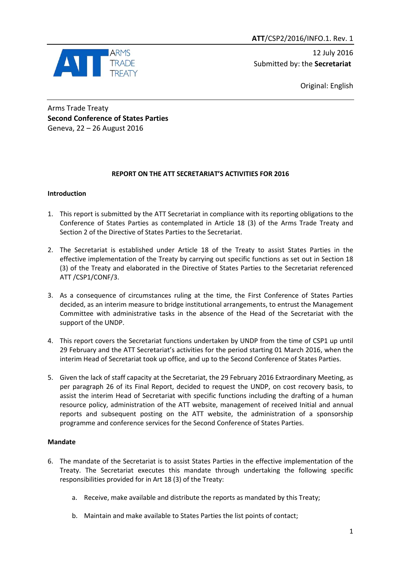

12 July 2016 Submitted by: the **Secretariat**

Original: English

Arms Trade Treaty **Second Conference of States Parties** Geneva, 22 – 26 August 2016

# **REPORT ON THE ATT SECRETARIAT'S ACTIVITIES FOR 2016**

### **Introduction**

- 1. This report is submitted by the ATT Secretariat in compliance with its reporting obligations to the Conference of States Parties as contemplated in Article 18 (3) of the Arms Trade Treaty and Section 2 of the Directive of States Parties to the Secretariat.
- 2. The Secretariat is established under Article 18 of the Treaty to assist States Parties in the effective implementation of the Treaty by carrying out specific functions as set out in Section 18 (3) of the Treaty and elaborated in the Directive of States Parties to the Secretariat referenced ATT /CSP1/CONF/3.
- 3. As a consequence of circumstances ruling at the time, the First Conference of States Parties decided, as an interim measure to bridge institutional arrangements, to entrust the Management Committee with administrative tasks in the absence of the Head of the Secretariat with the support of the UNDP.
- 4. This report covers the Secretariat functions undertaken by UNDP from the time of CSP1 up until 29 February and the ATT Secretariat's activities for the period starting 01 March 2016, when the interim Head of Secretariat took up office, and up to the Second Conference of States Parties.
- 5. Given the lack of staff capacity at the Secretariat, the 29 February 2016 Extraordinary Meeting, as per paragraph 26 of its Final Report, decided to request the UNDP, on cost recovery basis, to assist the interim Head of Secretariat with specific functions including the drafting of a human resource policy, administration of the ATT website, management of received Initial and annual reports and subsequent posting on the ATT website, the administration of a sponsorship programme and conference services for the Second Conference of States Parties.

# **Mandate**

- 6. The mandate of the Secretariat is to assist States Parties in the effective implementation of the Treaty. The Secretariat executes this mandate through undertaking the following specific responsibilities provided for in Art 18 (3) of the Treaty:
	- a. Receive, make available and distribute the reports as mandated by this Treaty;
	- b. Maintain and make available to States Parties the list points of contact;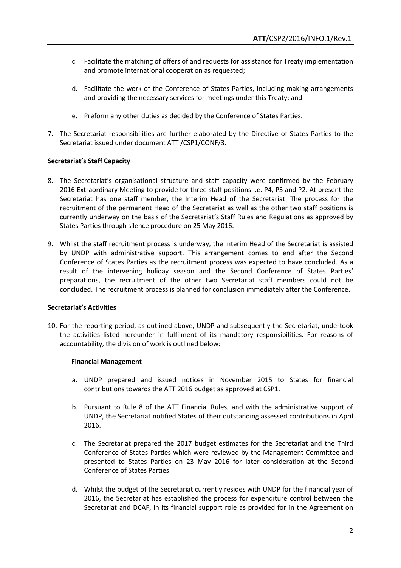- c. Facilitate the matching of offers of and requests for assistance for Treaty implementation and promote international cooperation as requested;
- d. Facilitate the work of the Conference of States Parties, including making arrangements and providing the necessary services for meetings under this Treaty; and
- e. Preform any other duties as decided by the Conference of States Parties.
- 7. The Secretariat responsibilities are further elaborated by the Directive of States Parties to the Secretariat issued under document ATT /CSP1/CONF/3.

### **Secretariat's Staff Capacity**

- 8. The Secretariat's organisational structure and staff capacity were confirmed by the February 2016 Extraordinary Meeting to provide for three staff positions i.e. P4, P3 and P2. At present the Secretariat has one staff member, the Interim Head of the Secretariat. The process for the recruitment of the permanent Head of the Secretariat as well as the other two staff positions is currently underway on the basis of the Secretariat's Staff Rules and Regulations as approved by States Parties through silence procedure on 25 May 2016.
- 9. Whilst the staff recruitment process is underway, the interim Head of the Secretariat is assisted by UNDP with administrative support. This arrangement comes to end after the Second Conference of States Parties as the recruitment process was expected to have concluded. As a result of the intervening holiday season and the Second Conference of States Parties' preparations, the recruitment of the other two Secretariat staff members could not be concluded. The recruitment process is planned for conclusion immediately after the Conference.

#### **Secretariat's Activities**

10. For the reporting period, as outlined above, UNDP and subsequently the Secretariat, undertook the activities listed hereunder in fulfilment of its mandatory responsibilities. For reasons of accountability, the division of work is outlined below:

#### **Financial Management**

- a. UNDP prepared and issued notices in November 2015 to States for financial contributions towards the ATT 2016 budget as approved at CSP1.
- b. Pursuant to Rule 8 of the ATT Financial Rules, and with the administrative support of UNDP, the Secretariat notified States of their outstanding assessed contributions in April 2016.
- c. The Secretariat prepared the 2017 budget estimates for the Secretariat and the Third Conference of States Parties which were reviewed by the Management Committee and presented to States Parties on 23 May 2016 for later consideration at the Second Conference of States Parties.
- d. Whilst the budget of the Secretariat currently resides with UNDP for the financial year of 2016, the Secretariat has established the process for expenditure control between the Secretariat and DCAF, in its financial support role as provided for in the Agreement on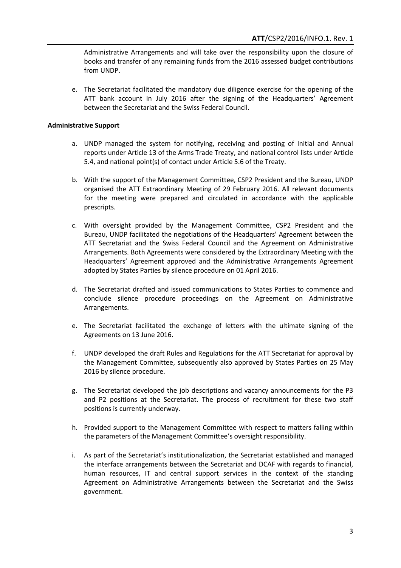Administrative Arrangements and will take over the responsibility upon the closure of books and transfer of any remaining funds from the 2016 assessed budget contributions from UNDP.

e. The Secretariat facilitated the mandatory due diligence exercise for the opening of the ATT bank account in July 2016 after the signing of the Headquarters' Agreement between the Secretariat and the Swiss Federal Council.

#### **Administrative Support**

- a. UNDP managed the system for notifying, receiving and posting of Initial and Annual reports under Article 13 of the Arms Trade Treaty, and national control lists under Article 5.4, and national point(s) of contact under Article 5.6 of the Treaty.
- b. With the support of the Management Committee, CSP2 President and the Bureau, UNDP organised the ATT Extraordinary Meeting of 29 February 2016. All relevant documents for the meeting were prepared and circulated in accordance with the applicable prescripts.
- c. With oversight provided by the Management Committee, CSP2 President and the Bureau, UNDP facilitated the negotiations of the Headquarters' Agreement between the ATT Secretariat and the Swiss Federal Council and the Agreement on Administrative Arrangements. Both Agreements were considered by the Extraordinary Meeting with the Headquarters' Agreement approved and the Administrative Arrangements Agreement adopted by States Parties by silence procedure on 01 April 2016.
- d. The Secretariat drafted and issued communications to States Parties to commence and conclude silence procedure proceedings on the Agreement on Administrative Arrangements.
- e. The Secretariat facilitated the exchange of letters with the ultimate signing of the Agreements on 13 June 2016.
- f. UNDP developed the draft Rules and Regulations for the ATT Secretariat for approval by the Management Committee, subsequently also approved by States Parties on 25 May 2016 by silence procedure.
- g. The Secretariat developed the job descriptions and vacancy announcements for the P3 and P2 positions at the Secretariat. The process of recruitment for these two staff positions is currently underway.
- h. Provided support to the Management Committee with respect to matters falling within the parameters of the Management Committee's oversight responsibility.
- i. As part of the Secretariat's institutionalization, the Secretariat established and managed the interface arrangements between the Secretariat and DCAF with regards to financial, human resources, IT and central support services in the context of the standing Agreement on Administrative Arrangements between the Secretariat and the Swiss government.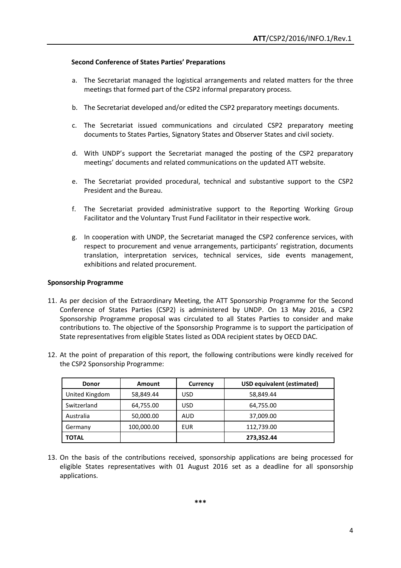#### **Second Conference of States Parties' Preparations**

- a. The Secretariat managed the logistical arrangements and related matters for the three meetings that formed part of the CSP2 informal preparatory process.
- b. The Secretariat developed and/or edited the CSP2 preparatory meetings documents.
- c. The Secretariat issued communications and circulated CSP2 preparatory meeting documents to States Parties, Signatory States and Observer States and civil society.
- d. With UNDP's support the Secretariat managed the posting of the CSP2 preparatory meetings' documents and related communications on the updated ATT website.
- e. The Secretariat provided procedural, technical and substantive support to the CSP2 President and the Bureau.
- f. The Secretariat provided administrative support to the Reporting Working Group Facilitator and the Voluntary Trust Fund Facilitator in their respective work.
- g. In cooperation with UNDP, the Secretariat managed the CSP2 conference services, with respect to procurement and venue arrangements, participants' registration, documents translation, interpretation services, technical services, side events management, exhibitions and related procurement.

#### **Sponsorship Programme**

- 11. As per decision of the Extraordinary Meeting, the ATT Sponsorship Programme for the Second Conference of States Parties (CSP2) is administered by UNDP. On 13 May 2016, a CSP2 Sponsorship Programme proposal was circulated to all States Parties to consider and make contributions to. The objective of the Sponsorship Programme is to support the participation of State representatives from eligible States listed as ODA recipient states by OECD DAC.
- 12. At the point of preparation of this report, the following contributions were kindly received for the CSP2 Sponsorship Programme:

| <b>Donor</b>   | Amount     | Currency | <b>USD equivalent (estimated)</b> |
|----------------|------------|----------|-----------------------------------|
| United Kingdom | 58,849.44  | USD      | 58,849.44                         |
| Switzerland    | 64,755.00  | USD      | 64,755.00                         |
| Australia      | 50,000.00  | AUD      | 37,009.00                         |
| Germany        | 100,000.00 | EUR      | 112,739.00                        |
| <b>TOTAL</b>   |            |          | 273,352.44                        |

13. On the basis of the contributions received, sponsorship applications are being processed for eligible States representatives with 01 August 2016 set as a deadline for all sponsorship applications.